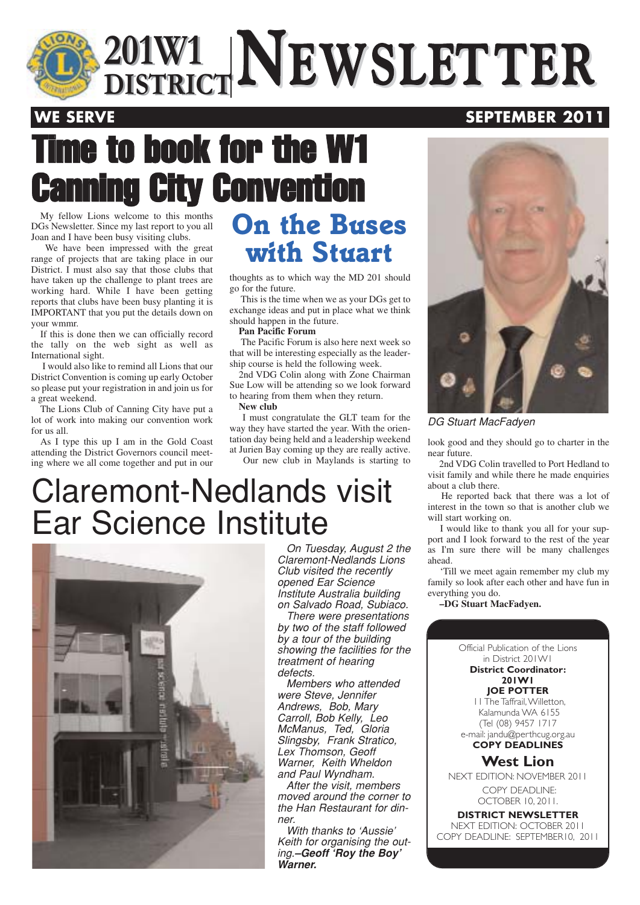

# Time to book for the W1 **v Convention**

My fellow Lions welcome to this months DGs Newsletter. Since my last report to you all Joan and I have been busy visiting clubs.

We have been impressed with the great range of projects that are taking place in our District. I must also say that those clubs that have taken up the challenge to plant trees are working hard. While I have been getting reports that clubs have been busy planting it is IMPORTANT that you put the details down on your wmmr.

If this is done then we can officially record the tally on the web sight as well as International sight.

I would also like to remind all Lions that our District Convention is coming up early October so please put your registration in and join us for a great weekend.

The Lions Club of Canning City have put a lot of work into making our convention work for us all.

As I type this up I am in the Gold Coast attending the District Governors council meeting where we all come together and put in our

## *On the Buses with Stuart*

thoughts as to which way the MD 201 should go for the future.

This is the time when we as your DGs get to exchange ideas and put in place what we think should happen in the future.

#### **Pan Pacific Forum**

The Pacific Forum is also here next week so that will be interesting especially as the leadership course is held the following week.

2nd VDG Colin along with Zone Chairman Sue Low will be attending so we look forward to hearing from them when they return. **New club**

I must congratulate the GLT team for the way they have started the year. With the orientation day being held and a leadership weekend at Jurien Bay coming up they are really active.

Our new club in Maylands is starting to

## Claremont-Nedlands visit Ear Science Institute



On Tuesday, August 2 the Claremont-Nedlands Lions Club visited the recently opened Ear Science Institute Australia building on Salvado Road, Subiaco.

There were presentations by two of the staff followed by a tour of the building showing the facilities for the treatment of hearing defects.

Members who attended were Steve, Jennifer Andrews, Bob, Mary Carroll, Bob Kelly, Leo McManus, Ted, Gloria Slingsby, Frank Stratico, Lex Thomson, Geoff Warner, Keith Wheldon and Paul Wyndham.

After the visit, members moved around the corner to the Han Restaurant for dinner.

With thanks to 'Aussie' Keith for organising the outing.**–Geoff 'Roy the Boy' Warner.**



#### DG Stuart MacFadyen

look good and they should go to charter in the near future.

2nd VDG Colin travelled to Port Hedland to visit family and while there he made enquiries about a club there.

He reported back that there was a lot of interest in the town so that is another club we will start working on.

I would like to thank you all for your support and I look forward to the rest of the year as I'm sure there will be many challenges ahead.

'Till we meet again remember my club my family so look after each other and have fun in everything you do.

**–DG Stuart MacFadyen.**

Official Publication of the Lions in District 201W1

**District Coordinator: 201W1**

**JOE POTTER**

11 The Taffrail,Willetton, Kalamunda WA 6155 (Tel (08) 9457 1717 e-mail: jandu@perthcug.org.au

**COPY DEADLINES**

#### **West Lion**

NEXT EDITION: NOVEMBER 2011 COPY DEADLINE: OCTOBER 10, 2011.

**DISTRICT NEWSLETTER** NEXT EDITION: OCTOBER 2011 COPY DEADLINE: SEPTEMBER10, 2011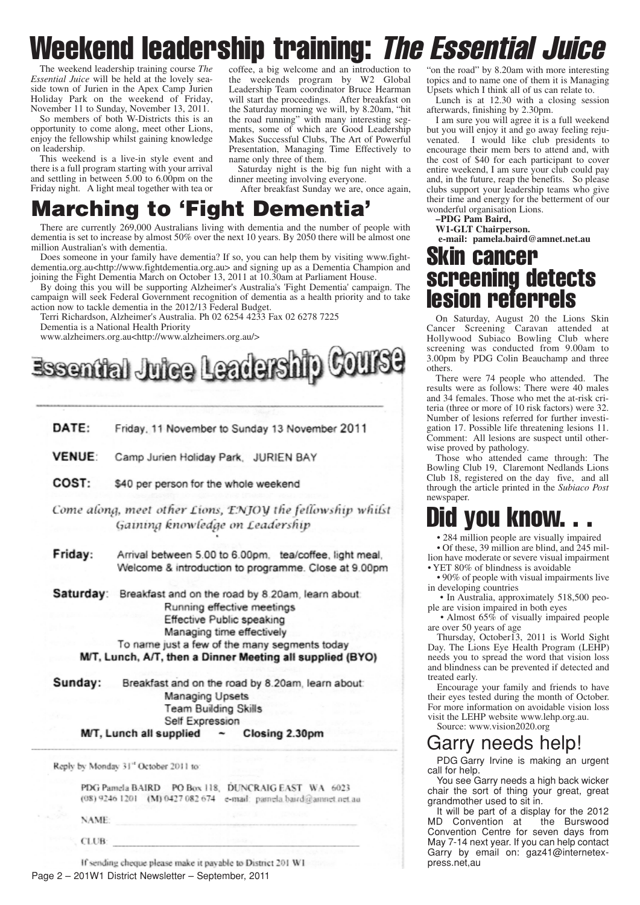# Weekend leadership training: The Essential Juice

The weekend leadership training course *The Essential Juice* will be held at the lovely seaside town of Jurien in the Apex Camp Jurien Holiday Park on the weekend of Friday, November 11 to Sunday, November 13, 2011.

So members of both W-Districts this is an opportunity to come along, meet other Lions, enjoy the fellowship whilst gaining knowledge on leadership.

This weekend is a live-in style event and there is a full program starting with your arrival and settling in between 5.00 to 6.00pm on the Friday night. A light meal together with tea or

coffee, a big welcome and an introduction to the weekends program by W2 Global Leadership Team coordinator Bruce Hearman will start the proceedings. After breakfast on the Saturday morning we will, by 8.20am, "hit the road running" with many interesting segments, some of which are Good Leadership Makes Successful Clubs, The Art of Powerful Presentation, Managing Time Effectively to name only three of them.

Saturday night is the big fun night with a dinner meeting involving everyone.

After breakfast Sunday we are, once again,

## **Marching to 'Fight Dementia'**

There are currently 269,000 Australians living with dementia and the number of people with dementia is set to increase by almost 50% over the next 10 years. By 2050 there will be almost one million Australian's with dementia.

Does someone in your family have dementia? If so, you can help them by visiting www.fightdementia.org.au<http://www.fightdementia.org.au> and signing up as a Dementia Champion and joining the Fight Dementia March on October 13, 2011 at 10.30am at Parliament House.

By doing this you will be supporting Alzheimer's Australia's 'Fight Dementia' campaign. The campaign will seek Federal Government recognition of dementia as a health priority and to take action now to tackle dementia in the 2012/13 Federal Budget.

Terri Richardson, Alzheimer's Australia. Ph 02 6254 4233 Fax 02 6278 7225 Dementia is a National Health Priority

www.alzheimers.org.au<http://www.alzheimers.org.au/>



| DATE:         | Friday, 11 November to Sunday 13 November 2011                                                                                                                                                                                                                           |  |  |  |  |  |
|---------------|--------------------------------------------------------------------------------------------------------------------------------------------------------------------------------------------------------------------------------------------------------------------------|--|--|--|--|--|
| <b>VENUE:</b> | Camp Jurien Holiday Park, JURIEN BAY                                                                                                                                                                                                                                     |  |  |  |  |  |
| COST:         | \$40 per person for the whole weekend                                                                                                                                                                                                                                    |  |  |  |  |  |
|               | Come along, meet other Lions, ENJOV the fellowship whilst<br>Gaining knowledge on Leadership                                                                                                                                                                             |  |  |  |  |  |
| Friday:       | Arrival between 5.00 to 6.00pm, tea/coffee, light meal,<br>Welcome & introduction to programme. Close at 9.00pm                                                                                                                                                          |  |  |  |  |  |
|               | <b>Saturday:</b> Breakfast and on the road by 8.20am, learn about:<br>Running effective meetings<br>Effective Public speaking<br>Managing time effectively<br>To name just a few of the many segments today<br>M/T, Lunch, A/T, then a Dinner Meeting all supplied (BYO) |  |  |  |  |  |
| Sunday:       | Breakfast and on the road by 8.20am, learn about:<br>Managing Upsets<br><b>Team Building Skills</b><br>Self Expression<br>M/T, Lunch all supplied $\sim$<br>Closing 2.30pm                                                                                               |  |  |  |  |  |

Reply by Monday 31" October 2011 to:

PDG Pamela BAIRD PO Box 118, DUNCRAIG EAST WA 6023 (08) 9246 1201 (M) 0427 082 674 e-mail: pamela.baird@amnet.net.au

**NAME** 

CLUB:

If sending cheque please make it payable to District 201 W1 Page 2 – 201W1 District Newsletter – September, 2011

"on the road" by 8.20am with more interesting topics and to name one of them it is Managing Upsets which I think all of us can relate to.

Lunch is at 12.30 with a closing session afterwards, finishing by 2.30pm.

I am sure you will agree it is a full weekend but you will enjoy it and go away feeling rejuvenated. I would like club presidents to encourage their mem bers to attend and, with the cost of \$40 for each participant to cover entire weekend, I am sure your club could pay and, in the future, reap the benefits. So please clubs support your leadership teams who give their time and energy for the betterment of our wonderful organisation Lions.

**–PDG Pam Baird,**

**W1-GLT Chairperson.** 

**e-mail: pamela.baird@amnet.net.au**

## Skin cancer screening detects lesion referrels

On Saturday, August 20 the Lions Skin Cancer Screening Caravan attended at Hollywood Subiaco Bowling Club where screening was conducted from 9.00am to 3.00pm by PDG Colin Beauchamp and three others.

There were 74 people who attended. The results were as follows: There were 40 males and 34 females. Those who met the at-risk criteria (three or more of 10 risk factors) were 32. Number of lesions referred for further investigation 17. Possible life threatening lesions 11. Comment: All lesions are suspect until otherwise proved by pathology.

Those who attended came through: The Bowling Club 19, Claremont Nedlands Lions Club 18, registered on the day five, and all through the article printed in the *Subiaco Post* newspaper.

## Did you know.

• 284 million people are visually impaired

• Of these, 39 million are blind, and 245 million have moderate or severe visual impairment • YET 80% of blindness is avoidable

• 90% of people with visual impairments live

in developing countries • In Australia, approximately 518,500 people are vision impaired in both eyes

• Almost 65% of visually impaired people are over 50 years of age

Thursday, October13, 2011 is World Sight Day. The Lions Eye Health Program (LEHP) needs you to spread the word that vision loss and blindness can be prevented if detected and treated early.

Encourage your family and friends to have their eyes tested during the month of October. For more information on avoidable vision loss visit the LEHP website www.lehp.org.au.

Source: www.vision2020.org

### Garry needs help!

PDG Garry Irvine is making an urgent call for help.

You see Garry needs a high back wicker chair the sort of thing your great, great grandmother used to sit in.

It will be part of a display for the 2012 MD Convention at the Burswood Convention Centre for seven days from May 7-14 next year. If you can help contact Garry by email on: gaz41@internetexpress.net,au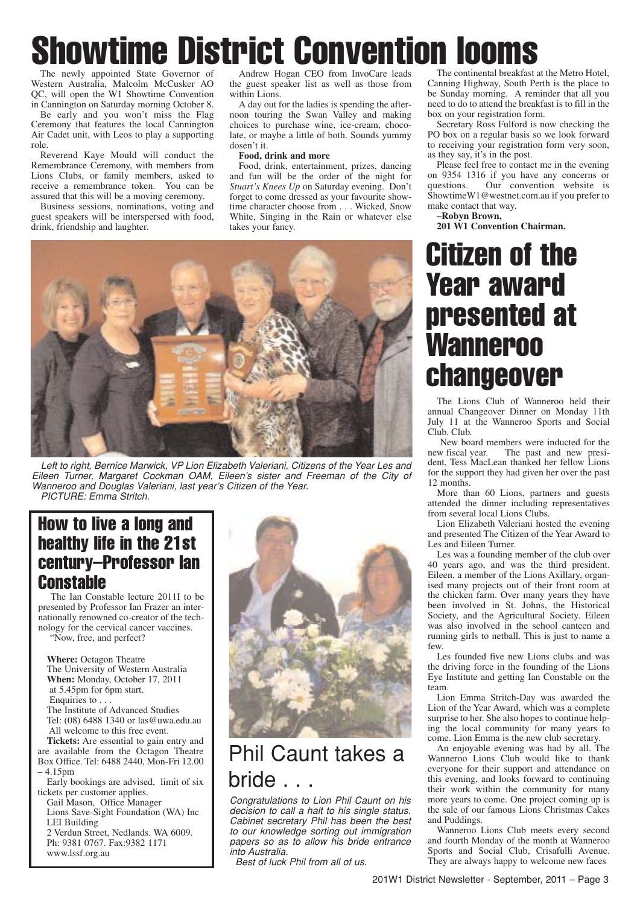# Showtime District Convention looms

The newly appointed State Governor of Western Australia, Malcolm McCusker AO QC, will open the W1 Showtime Convention in Cannington on Saturday morning October 8.

Be early and you won't miss the Flag Ceremony that features the local Cannington Air Cadet unit, with Leos to play a supporting role.

Reverend Kaye Mould will conduct the Remembrance Ceremony, with members from Lions Clubs, or family members, asked to receive a remembrance token. You can be assured that this will be a moving ceremony.

Business sessions, nominations, voting and guest speakers will be interspersed with food, drink, friendship and laughter.

Andrew Hogan CEO from InvoCare leads the guest speaker list as well as those from within Lions.

A day out for the ladies is spending the afternoon touring the Swan Valley and making choices to purchase wine, ice-cream, chocolate, or maybe a little of both. Sounds yummy dosen't it.

#### **Food, drink and more**

Food, drink, entertainment, prizes, dancing and fun will be the order of the night for *Stuart's Knees Up* on Saturday evening. Don't forget to come dressed as your favourite showtime character choose from . . . Wicked, Snow White, Singing in the Rain or whatever else takes your fancy.



Left to right, Bernice Marwick, VP Lion Elizabeth Valeriani, Citizens of the Year Les and Eileen Turner, Margaret Cockman OAM, Eileen's sister and Freeman of the City of Wanneroo and Douglas Valeriani, last year's Citizen of the Year. PICTURE: Emma Stritch.

### How to live a long and healthy life in the 21st century–Professor Ian Constable

The Ian Constable lecture 2011I to be presented by Professor Ian Frazer an internationally renowned co-creator of the technology for the cervical cancer vaccines. "Now, free, and perfect?

**Where:** Octagon Theatre The University of Western Australia **When:** Monday, October 17, 2011 at 5.45pm for 6pm start. Enquiries to . The Institute of Advanced Studies Tel: (08) 6488 1340 or las@uwa.edu.au

All welcome to this free event. **Tickets:** Are essential to gain entry and

are available from the Octagon Theatre Box Office. Tel: 6488 2440, Mon-Fri 12.00 – 4.15pm

Early bookings are advised, limit of six tickets per customer applies.

Gail Mason, Office Manager Lions Save-Sight Foundation (WA) Inc LEI Building 2 Verdun Street, Nedlands. WA 6009. Ph: 9381 0767. Fax:9382 1171 www.lssf.org.au



## Phil Caunt takes a bride . . .

Congratulations to Lion Phil Caunt on his decision to call a halt to his single status. Cabinet secretary Phil has been the best to our knowledge sorting out immigration papers so as to allow his bride entrance into Australia.

Best of luck Phil from all of us.

The continental breakfast at the Metro Hotel, Canning Highway, South Perth is the place to be Sunday morning. A reminder that all you need to do to attend the breakfast is to fill in the box on your registration form.

Secretary Ross Fulford is now checking the PO box on a regular basis so we look forward to receiving your registration form very soon, as they say, it's in the post.

Please feel free to contact me in the evening on 9354 1316 if you have any concerns or questions. Our convention website is ShowtimeW1@westnet.com.au if you prefer to make contact that way.

**–Robyn Brown,**

**201 W1 Convention Chairman.**

## Citizen of the Year award presented at **Wanneroo** changeover

The Lions Club of Wanneroo held their annual Changeover Dinner on Monday 11th July 11 at the Wanneroo Sports and Social Club. Club.

New board members were inducted for the new fiscal year. The past and new presi-The past and new president, Tess MacLean thanked her fellow Lions for the support they had given her over the past 12 months.

More than 60 Lions, partners and guests attended the dinner including representatives from several local Lions Clubs.

Lion Elizabeth Valeriani hosted the evening and presented The Citizen of the Year Award to Les and Eileen Turner.

Les was a founding member of the club over 40 years ago, and was the third president. Eileen, a member of the Lions Axillary, organised many projects out of their front room at the chicken farm. Over many years they have been involved in St. Johns, the Historical Society, and the Agricultural Society. Eileen was also involved in the school canteen and running girls to netball. This is just to name a few.

Les founded five new Lions clubs and was the driving force in the founding of the Lions Eye Institute and getting Ian Constable on the team.

Lion Emma Stritch-Day was awarded the Lion of the Year Award, which was a complete surprise to her. She also hopes to continue helping the local community for many years to come. Lion Emma is the new club secretary.

An enjoyable evening was had by all. The Wanneroo Lions Club would like to thank everyone for their support and attendance on this evening, and looks forward to continuing their work within the community for many more years to come. One project coming up is the sale of our famous Lions Christmas Cakes and Puddings.

Wanneroo Lions Club meets every second and fourth Monday of the month at Wanneroo Sports and Social Club, Crisafulli Avenue. They are always happy to welcome new faces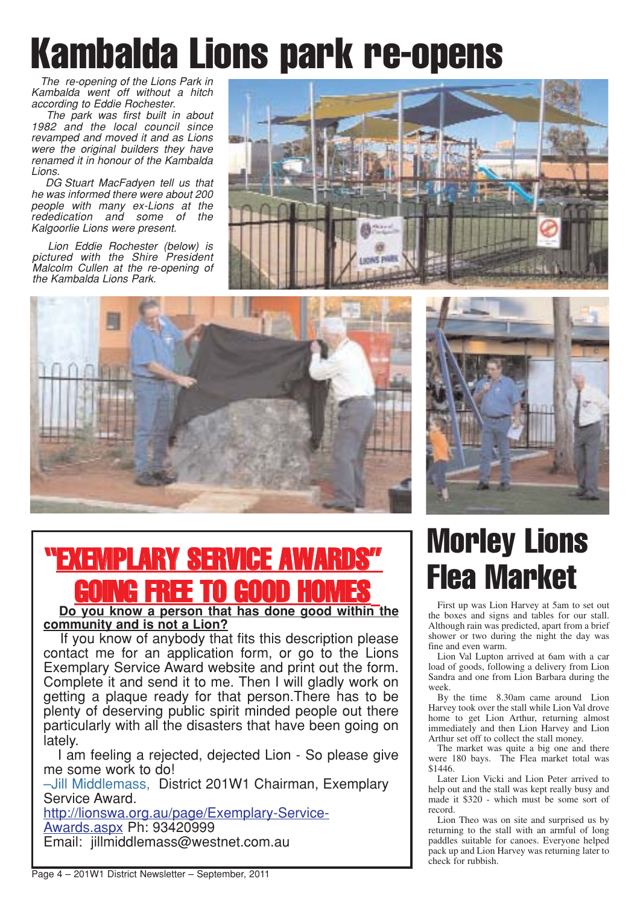# Kambalda Lions park re-opens

The re-opening of the Lions Park in Kambalda went off without a hitch according to Eddie Rochester.

The park was first built in about 1982 and the local council since revamped and moved it and as Lions were the original builders they have renamed it in honour of the Kambalda Lions.

DG Stuart MacFadyen tell us that he was informed there were about 200 people with many ex-Lions at the rededication and some of the Kalgoorlie Lions were present.

Lion Eddie Rochester (below) is pictured with the Shire President Malcolm Cullen at the re-opening of the Kambalda Lions Park.







# "EXEMPLARY SERVICE AWARDS" DING FREE TO GOOD

**Do you know a person that has done good within the community and is not a Lion?**

If you know of anybody that fits this description please contact me for an application form, or go to the Lions Exemplary Service Award website and print out the form. Complete it and send it to me. Then I will gladly work on getting a plaque ready for that person.There has to be plenty of deserving public spirit minded people out there particularly with all the disasters that have been going on lately.

I am feeling a rejected, dejected Lion - So please give me some work to do!

–Jill Middlemass, District 201W1 Chairman, Exemplary Service Award.

http://lionswa.org.au/page/Exemplary-Service-Awards.aspx Ph: 93420999 Email: jillmiddlemass@westnet.com.au

# Morley Lions Flea Market

First up was Lion Harvey at 5am to set out the boxes and signs and tables for our stall. Although rain was predicted, apart from a brief shower or two during the night the day was fine and even warm.

Lion Val Lupton arrived at 6am with a car load of goods, following a delivery from Lion Sandra and one from Lion Barbara during the week.

By the time 8.30am came around Lion Harvey took over the stall while Lion Val drove home to get Lion Arthur, returning almost immediately and then Lion Harvey and Lion Arthur set off to collect the stall money.

The market was quite a big one and there were 180 bays. The Flea market total was \$1446.

Later Lion Vicki and Lion Peter arrived to help out and the stall was kept really busy and made it \$320 - which must be some sort of record.

Lion Theo was on site and surprised us by returning to the stall with an armful of long paddles suitable for canoes. Everyone helped pack up and Lion Harvey was returning later to check for rubbish.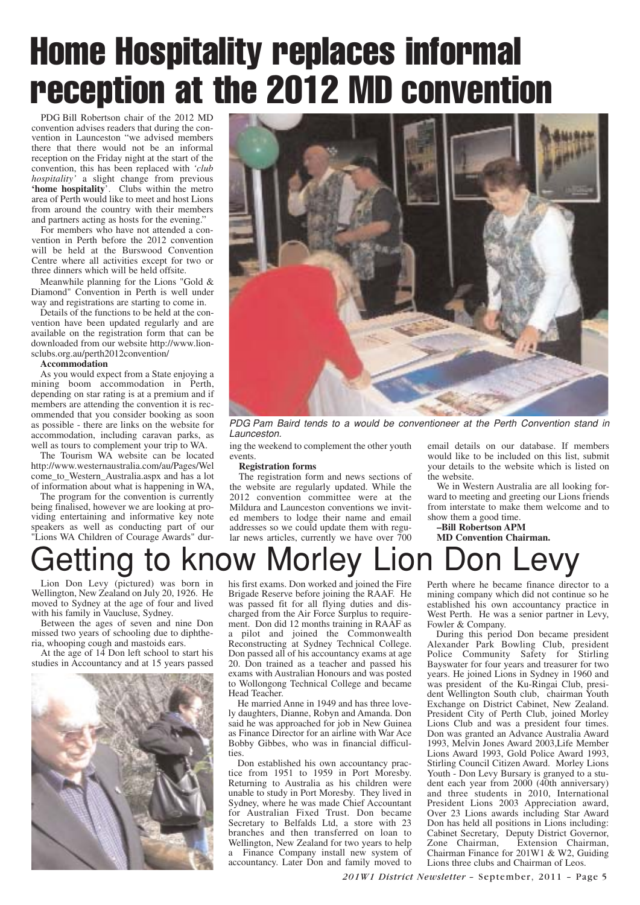# Home Hospitality replaces informal reception at the 2012 MD convention

PDG Bill Robertson chair of the 2012 MD convention advises readers that during the convention in Launceston "we advised members there that there would not be an informal reception on the Friday night at the start of the convention, this has been replaced with *'club hospitality'* a slight change from previous **'home hospitality**'. Clubs within the metro area of Perth would like to meet and host Lions from around the country with their members and partners acting as hosts for the evening."

For members who have not attended a convention in Perth before the 2012 convention will be held at the Burswood Convention Centre where all activities except for two or three dinners which will be held offsite.

Meanwhile planning for the Lions "Gold & Diamond" Convention in Perth is well under way and registrations are starting to come in.

Details of the functions to be held at the convention have been updated regularly and are available on the registration form that can be downloaded from our website http://www.lionsclubs.org.au/perth2012convention/

#### **Accommodation**

As you would expect from a State enjoying a mining boom accommodation in Perth, depending on star rating is at a premium and if members are attending the convention it is recommended that you consider booking as soon as possible - there are links on the website for accommodation, including caravan parks, as well as tours to complement your trip to WA.

The Tourism WA website can be located http://www.westernaustralia.com/au/Pages/Wel come\_to\_Western\_Australia.aspx and has a lot of information about what is happening in WA,

The program for the convention is currently being finalised, however we are looking at providing entertaining and informative key note speakers as well as conducting part of our "Lions WA Children of Courage Awards" dur-



PDG Pam Baird tends to a would be conventioneer at the Perth Convention stand in Launceston.

ing the weekend to complement the other youth events.

#### **Registration forms**

The registration form and news sections of the website are regularly updated. While the 2012 convention committee were at the Mildura and Launceston conventions we invited members to lodge their name and email addresses so we could update them with regular news articles, currently we have over  $\bar{7}00$ 

email details on our database. If members would like to be included on this list, submit your details to the website which is listed on the website.

We in Western Australia are all looking forward to meeting and greeting our Lions friends from interstate to make them welcome and to show them a good time.

**–Bill Robertson APM**

## **MD Convention Chairman.** Getting to know Morley Lion Don Levy

Lion Don Levy (pictured) was born in Wellington, New Zealand on July 20, 1926. He moved to Sydney at the age of four and lived with his family in Vaucluse, Sydney.

Between the ages of seven and nine Don missed two years of schooling due to diphtheria, whooping cough and mastoids ears.

At the age of 14 Don left school to start his studies in Accountancy and at 15 years passed



his first exams. Don worked and joined the Fire Brigade Reserve before joining the RAAF. He was passed fit for all flying duties and discharged from the Air Force Surplus to requirement. Don did 12 months training in RAAF as a pilot and joined the Commonwealth Reconstructing at Sydney Technical College. Don passed all of his accountancy exams at age 20. Don trained as a teacher and passed his exams with Australian Honours and was posted to Wollongong Technical College and became Head Teacher.

He married Anne in 1949 and has three lovely daughters, Dianne, Robyn and Amanda. Don said he was approached for job in New Guinea as Finance Director for an airline with War Ace Bobby Gibbes, who was in financial difficulties.

Don established his own accountancy practice from 1951 to 1959 in Port Moresby. Returning to Australia as his children were unable to study in Port Moresby. They lived in Sydney, where he was made Chief Accountant for Australian Fixed Trust. Don became Secretary to Belfalds Ltd, a store with 23 branches and then transferred on loan to Wellington, New Zealand for two years to help a Finance Company install new system of accountancy. Later Don and family moved to Perth where he became finance director to a mining company which did not continue so he established his own accountancy practice in West Perth. He was a senior partner in Levy, Fowler & Company.

During this period Don became president Alexander Park Bowling Club, president Police Community Safety for Stirling Bayswater for four years and treasurer for two years. He joined Lions in Sydney in 1960 and was president of the Ku-Ringai Club, president Wellington South club, chairman Youth Exchange on District Cabinet, New Zealand. President City of Perth Club, joined Morley Lions Club and was a president four times. Don was granted an Advance Australia Award 1993, Melvin Jones Award 2003,Life Member Lions Award 1993, Gold Police Award 1993, Stirling Council Citizen Award. Morley Lions Youth - Don Levy Bursary is granyed to a student each year from 2000 (40th anniversary) and three students in 2010, International President Lions 2003 Appreciation award, Over 23 Lions awards including Star Award Don has held all positions in Lions including: Cabinet Secretary, Deputy District Governor, Zone Chairman, Extension Chairman, Chairman Finance for 201W1 & W2, Guiding Lions three clubs and Chairman of Leos.